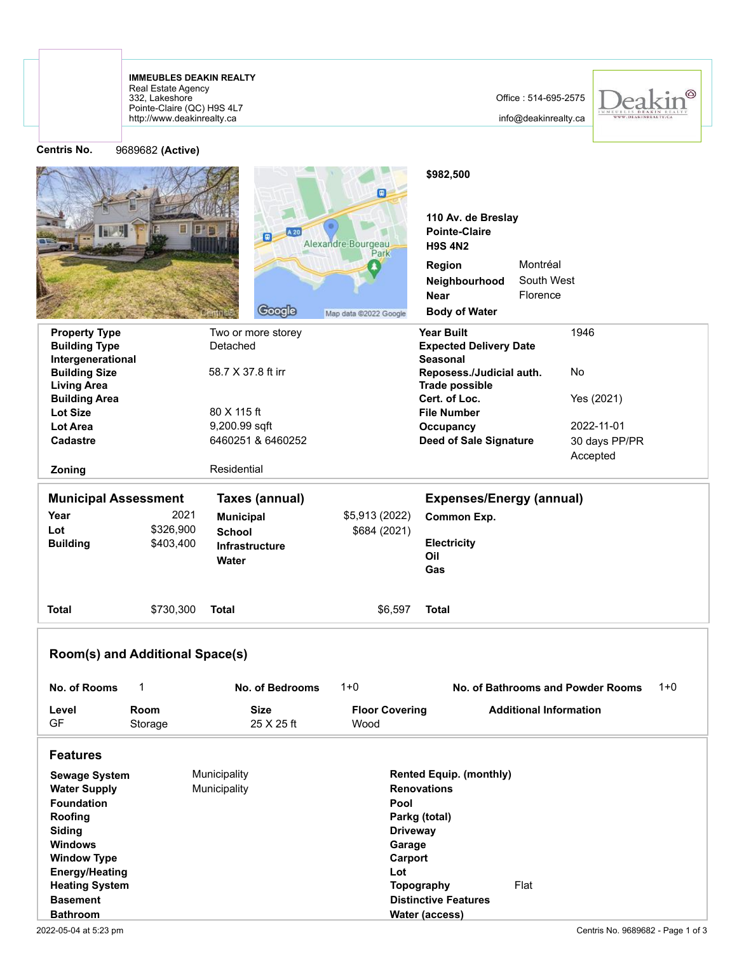http://www.deakinrealty.ca Pointe-Claire (QC) H9S 4L7 332, Lakeshore Real Estate Agency **IMMEUBLES DEAKIN REALTY**

info@deakinrealty.ca



| <b>Centris No.</b>                                                                                                                                                                                                    | 9689682 (Active)                |                                  |                                                     |                                                                                                                                      |                                    |                                   |         |
|-----------------------------------------------------------------------------------------------------------------------------------------------------------------------------------------------------------------------|---------------------------------|----------------------------------|-----------------------------------------------------|--------------------------------------------------------------------------------------------------------------------------------------|------------------------------------|-----------------------------------|---------|
|                                                                                                                                                                                                                       | H                               | A 20<br>E.                       | $\Box$<br>Alexandre-Bourgeau                        | \$982,500<br>110 Av. de Breslay<br><b>Pointe-Claire</b><br><b>H9S 4N2</b><br>Region<br>Neighbourhood<br><b>Near</b>                  | Montréal<br>South West<br>Florence |                                   |         |
|                                                                                                                                                                                                                       |                                 | Google                           | Map data @2022 Google                               | <b>Body of Water</b>                                                                                                                 |                                    |                                   |         |
| <b>Property Type</b>                                                                                                                                                                                                  |                                 | Two or more storey               |                                                     | <b>Year Built</b>                                                                                                                    |                                    | 1946                              |         |
| <b>Building Type</b><br>Intergenerational                                                                                                                                                                             |                                 | Detached                         |                                                     | <b>Expected Delivery Date</b><br><b>Seasonal</b>                                                                                     |                                    |                                   |         |
| <b>Building Size</b><br><b>Living Area</b>                                                                                                                                                                            |                                 | 58.7 X 37.8 ft irr               |                                                     | Reposess./Judicial auth.<br><b>Trade possible</b>                                                                                    |                                    | No                                |         |
| <b>Building Area</b><br><b>Lot Size</b>                                                                                                                                                                               |                                 | 80 X 115 ft                      |                                                     | Cert. of Loc.<br><b>File Number</b>                                                                                                  |                                    | Yes (2021)                        |         |
| <b>Lot Area</b>                                                                                                                                                                                                       |                                 | 9,200.99 sqft                    |                                                     | Occupancy                                                                                                                            |                                    | 2022-11-01                        |         |
| Cadastre<br>Zoning                                                                                                                                                                                                    |                                 | 6460251 & 6460252<br>Residential |                                                     | <b>Deed of Sale Signature</b>                                                                                                        |                                    | 30 days PP/PR<br>Accepted         |         |
|                                                                                                                                                                                                                       |                                 |                                  |                                                     |                                                                                                                                      |                                    |                                   |         |
| <b>Municipal Assessment</b>                                                                                                                                                                                           |                                 | Taxes (annual)                   |                                                     | <b>Expenses/Energy (annual)</b>                                                                                                      |                                    |                                   |         |
| Year                                                                                                                                                                                                                  | 2021                            | <b>Municipal</b>                 | \$5,913 (2022)                                      | Common Exp.                                                                                                                          |                                    |                                   |         |
| Lot                                                                                                                                                                                                                   | \$326,900                       | <b>School</b>                    | \$684 (2021)                                        |                                                                                                                                      |                                    |                                   |         |
| <b>Building</b>                                                                                                                                                                                                       | \$403,400                       | <b>Infrastructure</b><br>Water   |                                                     | <b>Electricity</b><br>Oil<br>Gas                                                                                                     |                                    |                                   |         |
| <b>Total</b>                                                                                                                                                                                                          | \$730,300                       | <b>Total</b>                     | \$6,597                                             | <b>Total</b>                                                                                                                         |                                    |                                   |         |
|                                                                                                                                                                                                                       | Room(s) and Additional Space(s) |                                  |                                                     |                                                                                                                                      |                                    |                                   |         |
| No. of Rooms                                                                                                                                                                                                          | 1                               | No. of Bedrooms                  | $1 + 0$                                             |                                                                                                                                      |                                    | No. of Bathrooms and Powder Rooms | $1 + 0$ |
| Level<br><b>GF</b>                                                                                                                                                                                                    | Room<br>Storage                 | <b>Size</b><br>25 X 25 ft        | <b>Floor Covering</b><br>Wood                       |                                                                                                                                      | <b>Additional Information</b>      |                                   |         |
| <b>Features</b>                                                                                                                                                                                                       |                                 |                                  |                                                     |                                                                                                                                      |                                    |                                   |         |
| <b>Sewage System</b><br><b>Water Supply</b><br><b>Foundation</b><br>Roofing<br>Siding<br><b>Windows</b><br><b>Window Type</b><br><b>Energy/Heating</b><br><b>Heating System</b><br><b>Basement</b><br><b>Bathroom</b> |                                 | Municipality<br>Municipality     | Pool<br><b>Driveway</b><br>Garage<br>Carport<br>Lot | <b>Rented Equip. (monthly)</b><br><b>Renovations</b><br>Parkg (total)<br>Topography<br><b>Distinctive Features</b><br>Water (access) | Flat                               |                                   |         |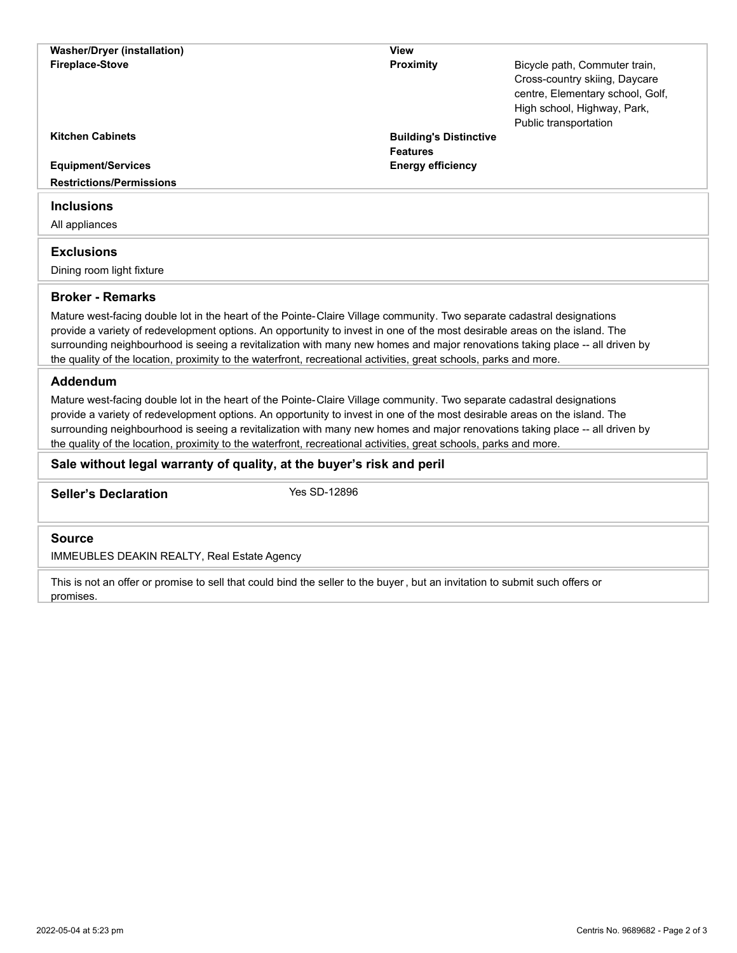| <b>Washer/Dryer (installation)</b>                                                                                                                                                                                                                                                                                                                                                                                                                                                                        | <b>View</b>                                      |                                                                                                                                   |
|-----------------------------------------------------------------------------------------------------------------------------------------------------------------------------------------------------------------------------------------------------------------------------------------------------------------------------------------------------------------------------------------------------------------------------------------------------------------------------------------------------------|--------------------------------------------------|-----------------------------------------------------------------------------------------------------------------------------------|
| <b>Fireplace-Stove</b>                                                                                                                                                                                                                                                                                                                                                                                                                                                                                    | <b>Proximity</b>                                 | Bicycle path, Commuter train,<br>Cross-country skiing, Daycare<br>centre, Elementary school, Golf,<br>High school, Highway, Park, |
| <b>Kitchen Cabinets</b>                                                                                                                                                                                                                                                                                                                                                                                                                                                                                   |                                                  | Public transportation                                                                                                             |
|                                                                                                                                                                                                                                                                                                                                                                                                                                                                                                           | <b>Building's Distinctive</b><br><b>Features</b> |                                                                                                                                   |
| <b>Equipment/Services</b>                                                                                                                                                                                                                                                                                                                                                                                                                                                                                 | <b>Energy efficiency</b>                         |                                                                                                                                   |
| <b>Restrictions/Permissions</b>                                                                                                                                                                                                                                                                                                                                                                                                                                                                           |                                                  |                                                                                                                                   |
|                                                                                                                                                                                                                                                                                                                                                                                                                                                                                                           |                                                  |                                                                                                                                   |
| <b>Inclusions</b>                                                                                                                                                                                                                                                                                                                                                                                                                                                                                         |                                                  |                                                                                                                                   |
| All appliances                                                                                                                                                                                                                                                                                                                                                                                                                                                                                            |                                                  |                                                                                                                                   |
| <b>Exclusions</b>                                                                                                                                                                                                                                                                                                                                                                                                                                                                                         |                                                  |                                                                                                                                   |
| Dining room light fixture                                                                                                                                                                                                                                                                                                                                                                                                                                                                                 |                                                  |                                                                                                                                   |
|                                                                                                                                                                                                                                                                                                                                                                                                                                                                                                           |                                                  |                                                                                                                                   |
| <b>Broker - Remarks</b>                                                                                                                                                                                                                                                                                                                                                                                                                                                                                   |                                                  |                                                                                                                                   |
| Mature west-facing double lot in the heart of the Pointe-Claire Village community. Two separate cadastral designations<br>provide a variety of redevelopment options. An opportunity to invest in one of the most desirable areas on the island. The<br>surrounding neighbourhood is seeing a revitalization with many new homes and major renovations taking place -- all driven by<br>the quality of the location, proximity to the waterfront, recreational activities, great schools, parks and more. |                                                  |                                                                                                                                   |
| Addendum                                                                                                                                                                                                                                                                                                                                                                                                                                                                                                  |                                                  |                                                                                                                                   |
| Mature west-facing double lot in the heart of the Pointe-Claire Village community. Two separate cadastral designations<br>provide a variety of redevelopment options. An opportunity to invest in one of the most desirable areas on the island. The<br>surrounding neighbourhood is seeing a revitalization with many new homes and major renovations taking place -- all driven by<br>the quality of the location, proximity to the waterfront, recreational activities, great schools, parks and more. |                                                  |                                                                                                                                   |
| Sale without legal warranty of quality, at the buyer's risk and peril                                                                                                                                                                                                                                                                                                                                                                                                                                     |                                                  |                                                                                                                                   |
| <b>Seller's Declaration</b>                                                                                                                                                                                                                                                                                                                                                                                                                                                                               | Yes SD-12896                                     |                                                                                                                                   |
| <b>Source</b>                                                                                                                                                                                                                                                                                                                                                                                                                                                                                             |                                                  |                                                                                                                                   |

IMMEUBLES DEAKIN REALTY, Real Estate Agency

This is not an offer or promise to sell that could bind the seller to the buyer, but an invitation to submit such offers or promises.